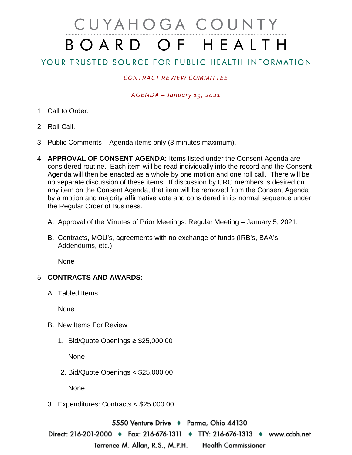# CUYAHOGA COUNTY BOARD OF HEALTH

# YOUR TRUSTED SOURCE FOR PUBLIC HEALTH INFORMATION

## *CONTRACT REVIEW COMMITTEE*

#### *AGENDA – January 19, 2021*

- 1. Call to Order.
- 2. Roll Call.
- 3. Public Comments Agenda items only (3 minutes maximum).
- 4. **APPROVAL OF CONSENT AGENDA:** Items listed under the Consent Agenda are considered routine. Each item will be read individually into the record and the Consent Agenda will then be enacted as a whole by one motion and one roll call. There will be no separate discussion of these items. If discussion by CRC members is desired on any item on the Consent Agenda, that item will be removed from the Consent Agenda by a motion and majority affirmative vote and considered in its normal sequence under the Regular Order of Business.
	- A. Approval of the Minutes of Prior Meetings: Regular Meeting January 5, 2021.
	- B. Contracts, MOU's, agreements with no exchange of funds (IRB's, BAA's, Addendums, etc.):

**None** 

### 5. **CONTRACTS AND AWARDS:**

A. Tabled Items

None

- B. New Items For Review
	- 1. Bid/Quote Openings ≥ \$25,000.00

None

2. Bid/Quote Openings < \$25,000.00

None

3. Expenditures: Contracts < \$25,000.00

5550 Venture Drive ♦ Parma, Ohio 44130

Direct: 216-201-2000 ♦ Fax: 216-676-1311 ♦ TTY: 216-676-1313 ♦ www.ccbh.net Terrence M. Allan, R.S., M.P.H. **Health Commissioner**